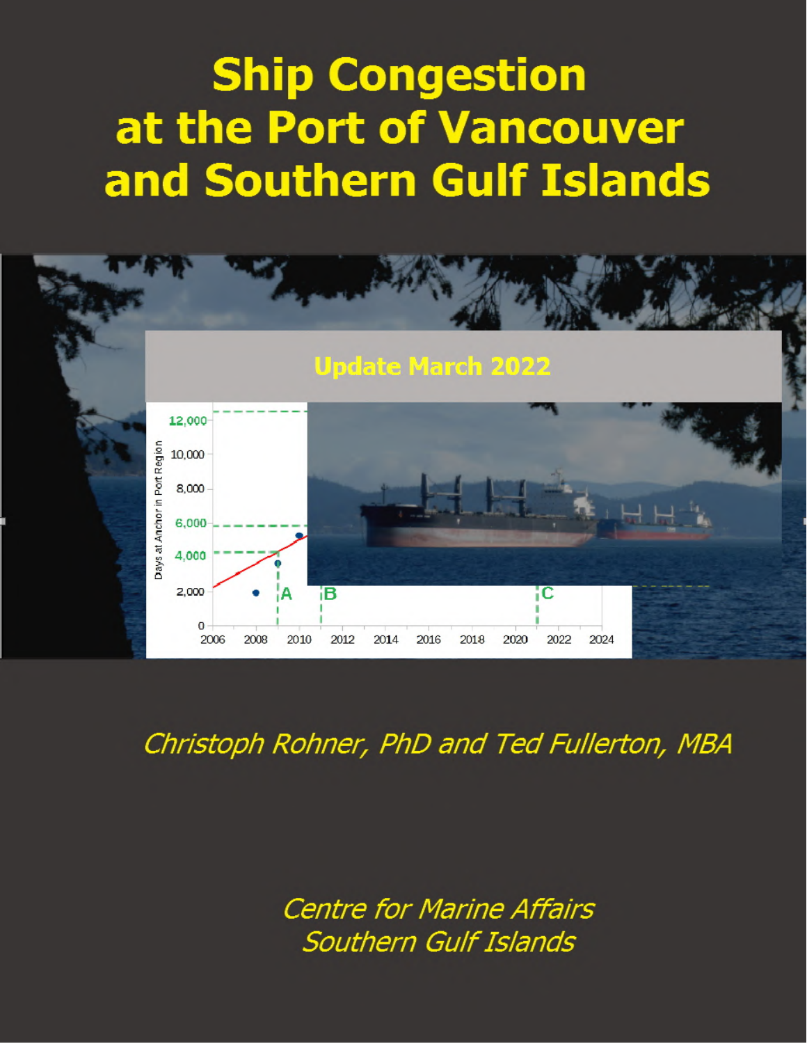# **Ship Congestion** at the Port of Vancouver and Southern Gulf Islands



Christoph Rohner, PhD and Ted Fullerton, MBA

**Centre for Marine Affairs Southern Gulf Islands**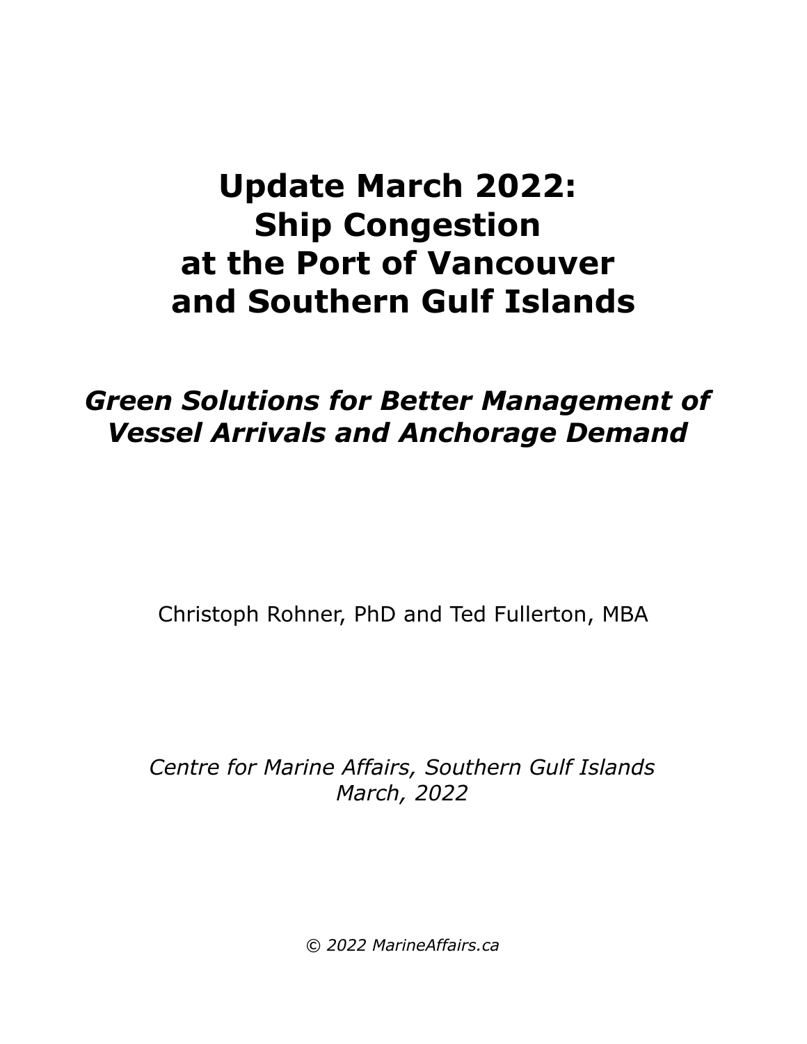# **Update March 2022: Ship Congestion at the Port of Vancouver and Southern Gulf Islands**

## *Green Solutions for Better Management of Vessel Arrivals and Anchorage Demand*

Christoph Rohner, PhD and Ted Fullerton, MBA

*Centre for Marine Affairs, Southern Gulf Islands March, 2022*

*© 2022 MarineAffairs.ca*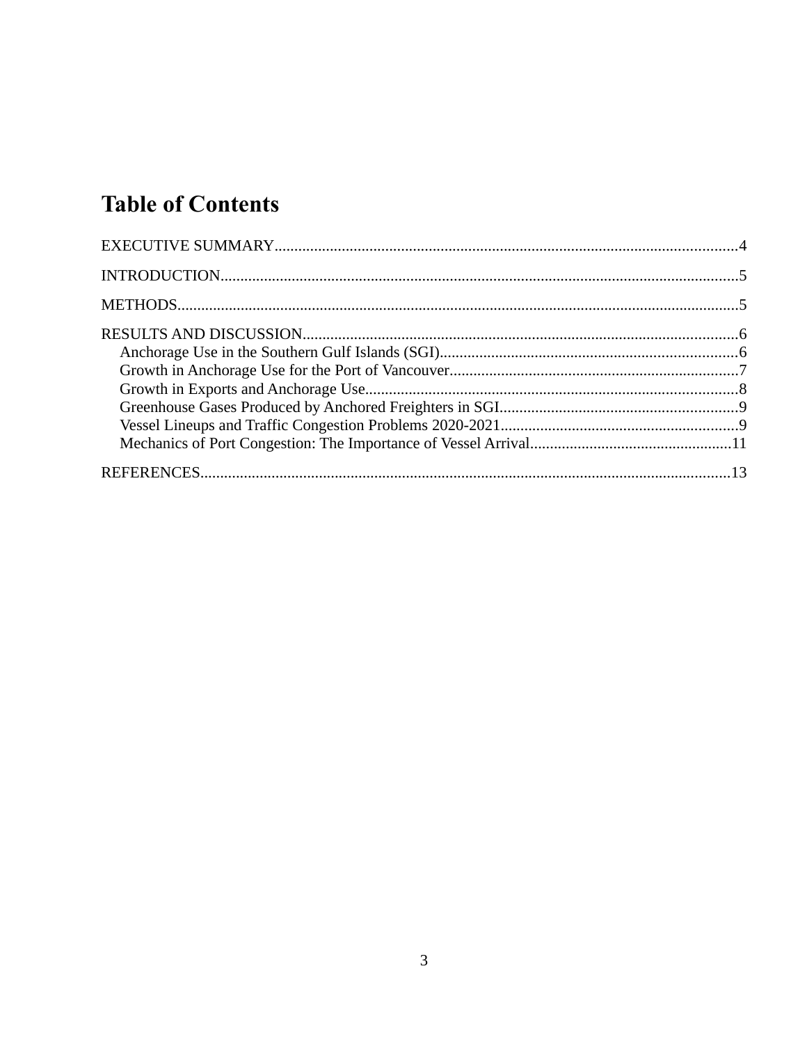### **Table of Contents**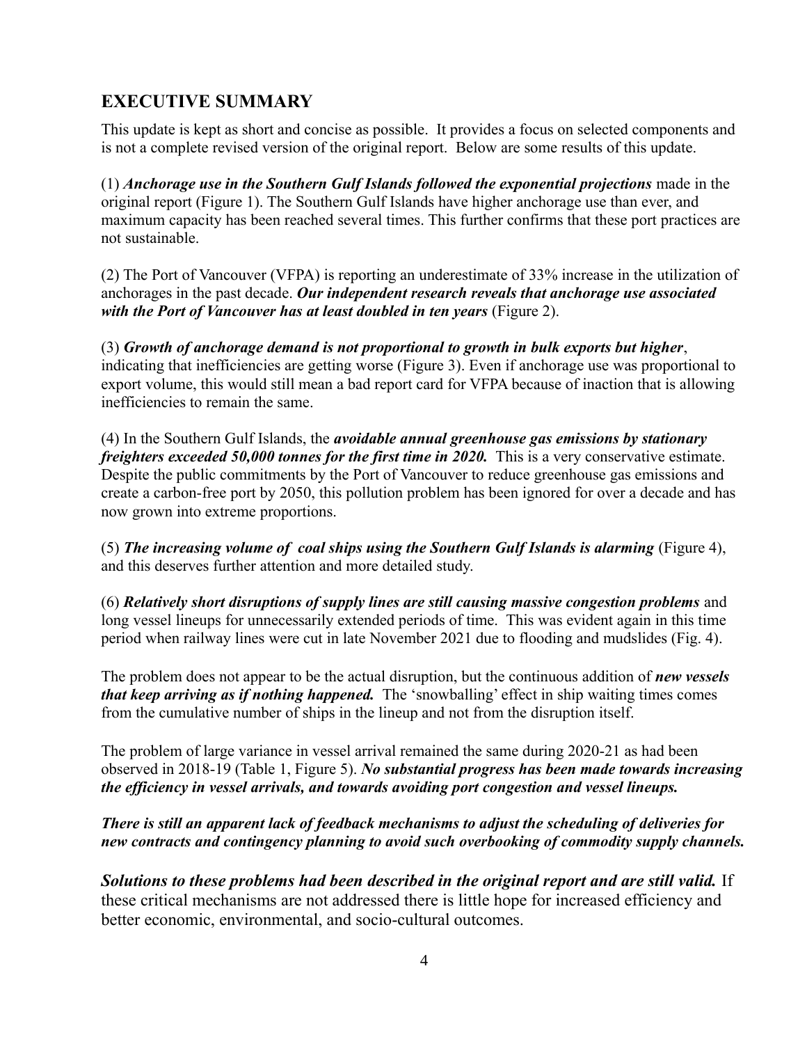#### <span id="page-3-0"></span>**EXECUTIVE SUMMARY**

This update is kept as short and concise as possible. It provides a focus on selected components and is not a complete revised version of the original report. Below are some results of this update.

(1) *Anchorage use in the Southern Gulf Islands followed the exponential projections* made in the original report (Figure 1). The Southern Gulf Islands have higher anchorage use than ever, and maximum capacity has been reached several times. This further confirms that these port practices are not sustainable.

(2) The Port of Vancouver (VFPA) is reporting an underestimate of 33% increase in the utilization of anchorages in the past decade. *Our independent research reveals that anchorage use associated with the Port of Vancouver has at least doubled in ten years* (Figure 2).

(3) *Growth of anchorage demand is not proportional to growth in bulk exports but higher*, indicating that inefficiencies are getting worse (Figure 3). Even if anchorage use was proportional to export volume, this would still mean a bad report card for VFPA because of inaction that is allowing inefficiencies to remain the same.

(4) In the Southern Gulf Islands, the *avoidable annual greenhouse gas emissions by stationary freighters exceeded 50,000 tonnes for the first time in 2020.* This is a very conservative estimate. Despite the public commitments by the Port of Vancouver to reduce greenhouse gas emissions and create a carbon-free port by 2050, this pollution problem has been ignored for over a decade and has now grown into extreme proportions.

(5) *The increasing volume of coal ships using the Southern Gulf Islands is alarming* (Figure 4), and this deserves further attention and more detailed study.

(6) *Relatively short disruptions of supply lines are still causing massive congestion problems* and long vessel lineups for unnecessarily extended periods of time. This was evident again in this time period when railway lines were cut in late November 2021 due to flooding and mudslides (Fig. 4).

The problem does not appear to be the actual disruption, but the continuous addition of *new vessels that keep arriving as if nothing happened.* The 'snowballing' effect in ship waiting times comes from the cumulative number of ships in the lineup and not from the disruption itself.

The problem of large variance in vessel arrival remained the same during 2020-21 as had been observed in 2018-19 (Table 1, Figure 5). *No substantial progress has been made towards increasing the efficiency in vessel arrivals, and towards avoiding port congestion and vessel lineups.*

*There is still an apparent lack of feedback mechanisms to adjust the scheduling of deliveries for new contracts and contingency planning to avoid such overbooking of commodity supply channels.*

*Solutions to these problems had been described in the original report and are still valid.* If these critical mechanisms are not addressed there is little hope for increased efficiency and better economic, environmental, and socio-cultural outcomes.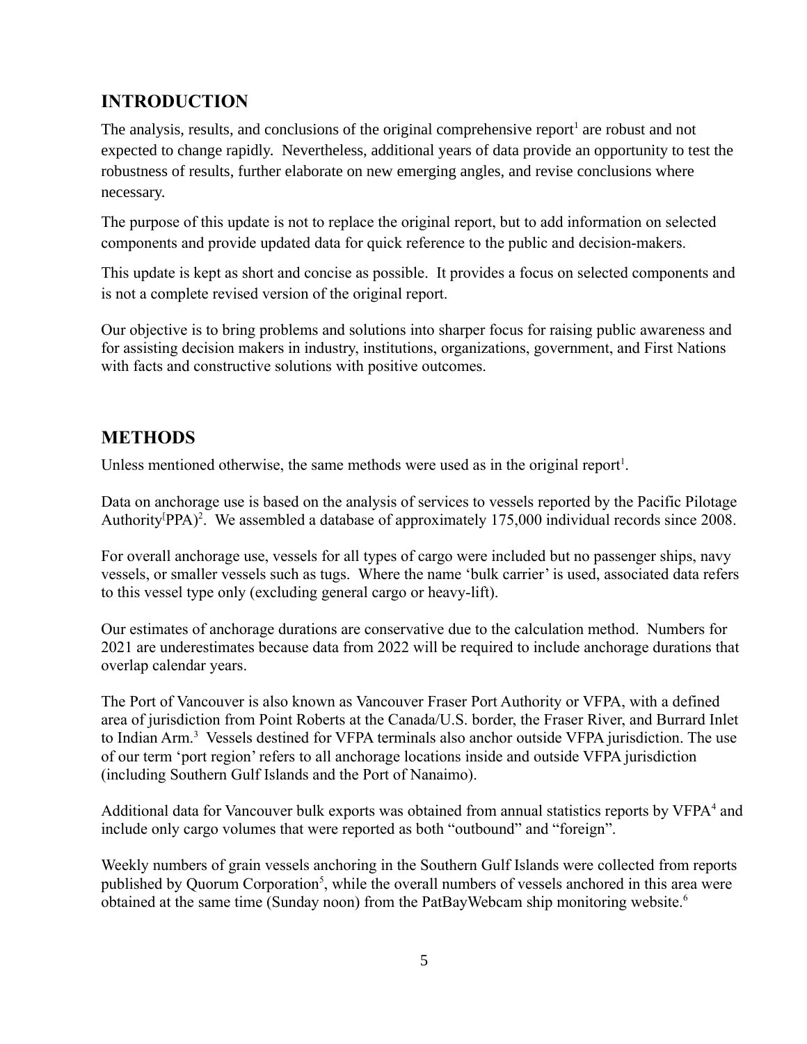#### <span id="page-4-1"></span>**INTRODUCTION**

The analysis, results, and conclusions of the original comprehensive report<sup>1</sup> are robust and not expected to change rapidly. Nevertheless, additional years of data provide an opportunity to test the robustness of results, further elaborate on new emerging angles, and revise conclusions where necessary.

The purpose of this update is not to replace the original report, but to add information on selected components and provide updated data for quick reference to the public and decision-makers.

This update is kept as short and concise as possible. It provides a focus on selected components and is not a complete revised version of the original report.

Our objective is to bring problems and solutions into sharper focus for raising public awareness and for assisting decision makers in industry, institutions, organizations, government, and First Nations with facts and constructive solutions with positive outcomes.

#### <span id="page-4-0"></span>**METHODS**

Unless mentioned otherwise, the same methods were used as in the original report<sup>1</sup>.

Data on anchorage use is based on the analysis of services to vessels reported by the Pacific Pilotage Authority<sup>[pp</sup>A]<sup>2</sup>. We assembled a database of approximately 175,000 individual records since 2008.

For overall anchorage use, vessels for all types of cargo were included but no passenger ships, navy vessels, or smaller vessels such as tugs. Where the name 'bulk carrier' is used, associated data refers to this vessel type only (excluding general cargo or heavy-lift).

Our estimates of anchorage durations are conservative due to the calculation method. Numbers for 2021 are underestimates because data from 2022 will be required to include anchorage durations that overlap calendar years.

The Port of Vancouver is also known as Vancouver Fraser Port Authority or VFPA, with a defined area of jurisdiction from Point Roberts at the Canada/U.S. border, the Fraser River, and Burrard Inlet to Indian Arm.<sup>3</sup> Vessels destined for VFPA terminals also anchor outside VFPA jurisdiction. The use of our term 'port region' refers to all anchorage locations inside and outside VFPA jurisdiction (including Southern Gulf Islands and the Port of Nanaimo).

Additional data for Vancouver bulk exports was obtained from annual statistics reports by VFPA<sup>4</sup> and include only cargo volumes that were reported as both "outbound" and "foreign".

Weekly numbers of grain vessels anchoring in the Southern Gulf Islands were collected from reports published by Quorum Corporation<sup>5</sup>, while the overall numbers of vessels anchored in this area were obtained at the same time (Sunday noon) from the PatBayWebcam ship monitoring website.<sup>6</sup>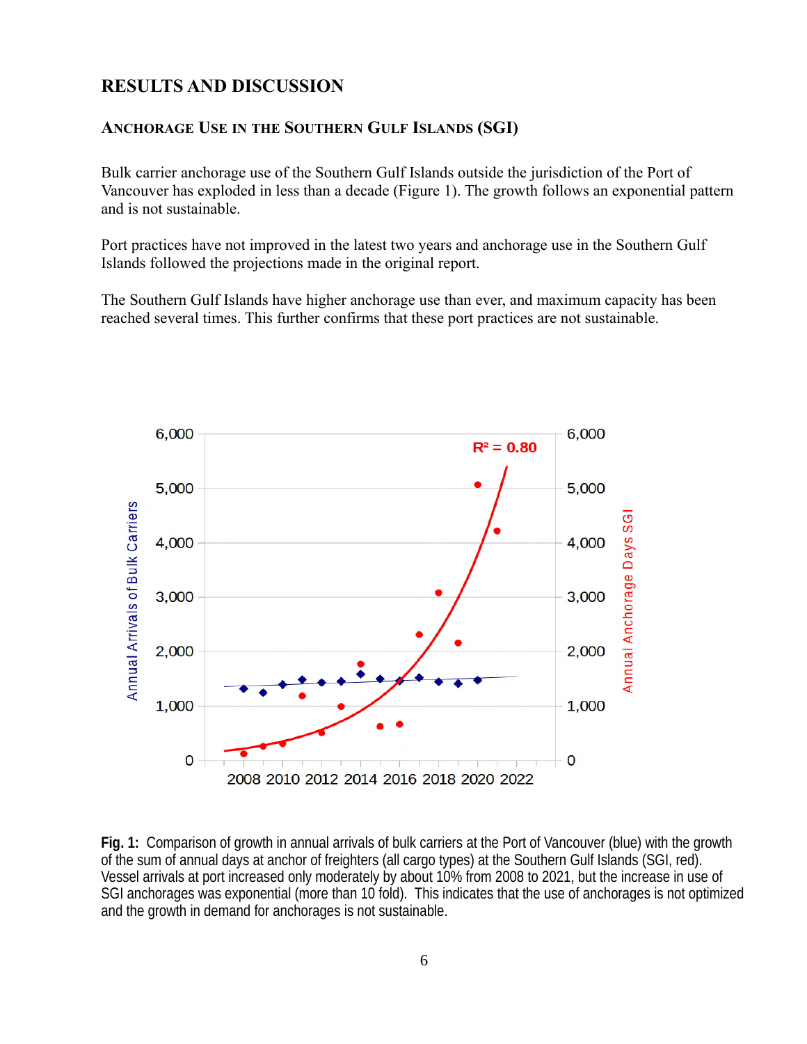#### <span id="page-5-1"></span>**RESULTS AND DISCUSSION**

#### <span id="page-5-0"></span>**ANCHORAGE USE IN THE SOUTHERN GULF ISLANDS (SGI)**

Bulk carrier anchorage use of the Southern Gulf Islands outside the jurisdiction of the Port of Vancouver has exploded in less than a decade (Figure 1). The growth follows an exponential pattern and is not sustainable.

Port practices have not improved in the latest two years and anchorage use in the Southern Gulf Islands followed the projections made in the original report.

The Southern Gulf Islands have higher anchorage use than ever, and maximum capacity has been reached several times. This further confirms that these port practices are not sustainable.



**Fig. 1:** Comparison of growth in annual arrivals of bulk carriers at the Port of Vancouver (blue) with the growth of the sum of annual days at anchor of freighters (all cargo types) at the Southern Gulf Islands (SGI, red). Vessel arrivals at port increased only moderately by about 10% from 2008 to 2021, but the increase in use of SGI anchorages was exponential (more than 10 fold). This indicates that the use of anchorages is not optimized and the growth in demand for anchorages is not sustainable.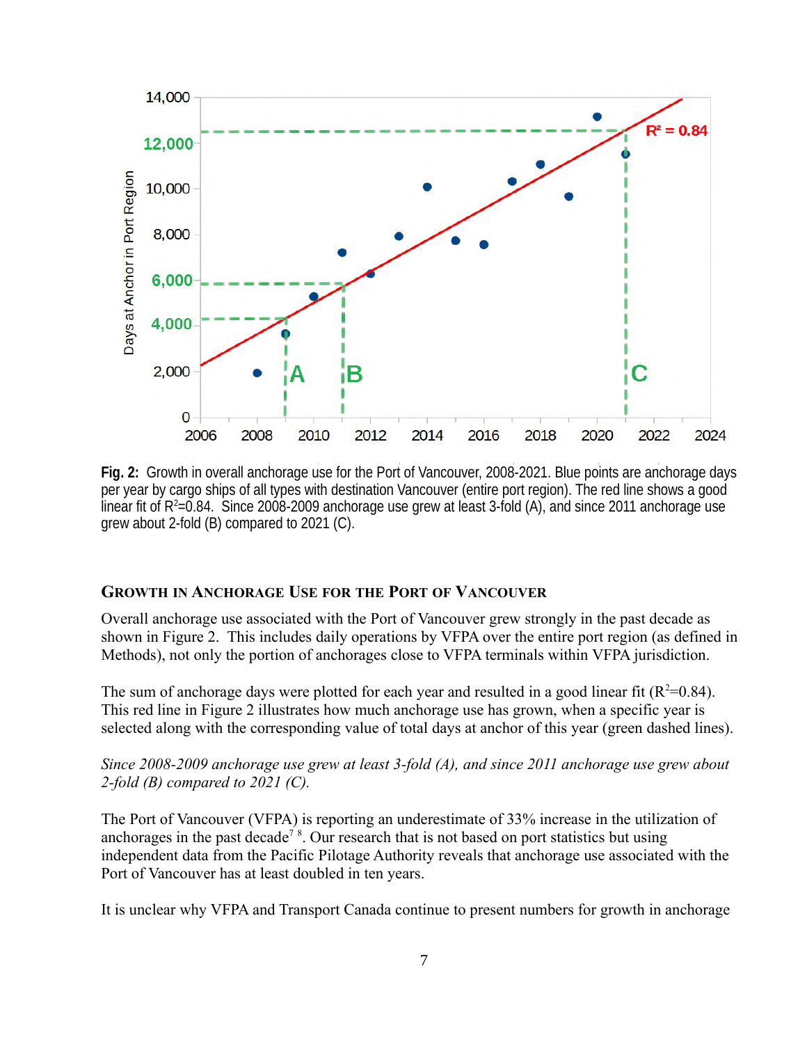

**Fig. 2:** Growth in overall anchorage use for the Port of Vancouver, 2008-2021. Blue points are anchorage days per year by cargo ships of all types with destination Vancouver (entire port region). The red line shows a good linear fit of R<sup>2</sup>=0.84. Since 2008-2009 anchorage use grew at least 3-fold (A), and since 2011 anchorage use grew about 2-fold (B) compared to 2021 (C).

#### <span id="page-6-0"></span>**GROWTH IN ANCHORAGE USE FOR THE PORT OF VANCOUVER**

Overall anchorage use associated with the Port of Vancouver grew strongly in the past decade as shown in Figure 2. This includes daily operations by VFPA over the entire port region (as defined in Methods), not only the portion of anchorages close to VFPA terminals within VFPA jurisdiction.

The sum of anchorage days were plotted for each year and resulted in a good linear fit  $(R^2=0.84)$ . This red line in Figure 2 illustrates how much anchorage use has grown, when a specific year is selected along with the corresponding value of total days at anchor of this year (green dashed lines).

*Since 2008-2009 anchorage use grew at least 3-fold (A), and since 2011 anchorage use grew about 2-fold (B) compared to 2021 (C).* 

The Port of Vancouver (VFPA) is reporting an underestimate of 33% increase in the utilization of anchorages in the past decade<sup>7</sup><sup>8</sup>. Our research that is not based on port statistics but using independent data from the Pacific Pilotage Authority reveals that anchorage use associated with the Port of Vancouver has at least doubled in ten years.

It is unclear why VFPA and Transport Canada continue to present numbers for growth in anchorage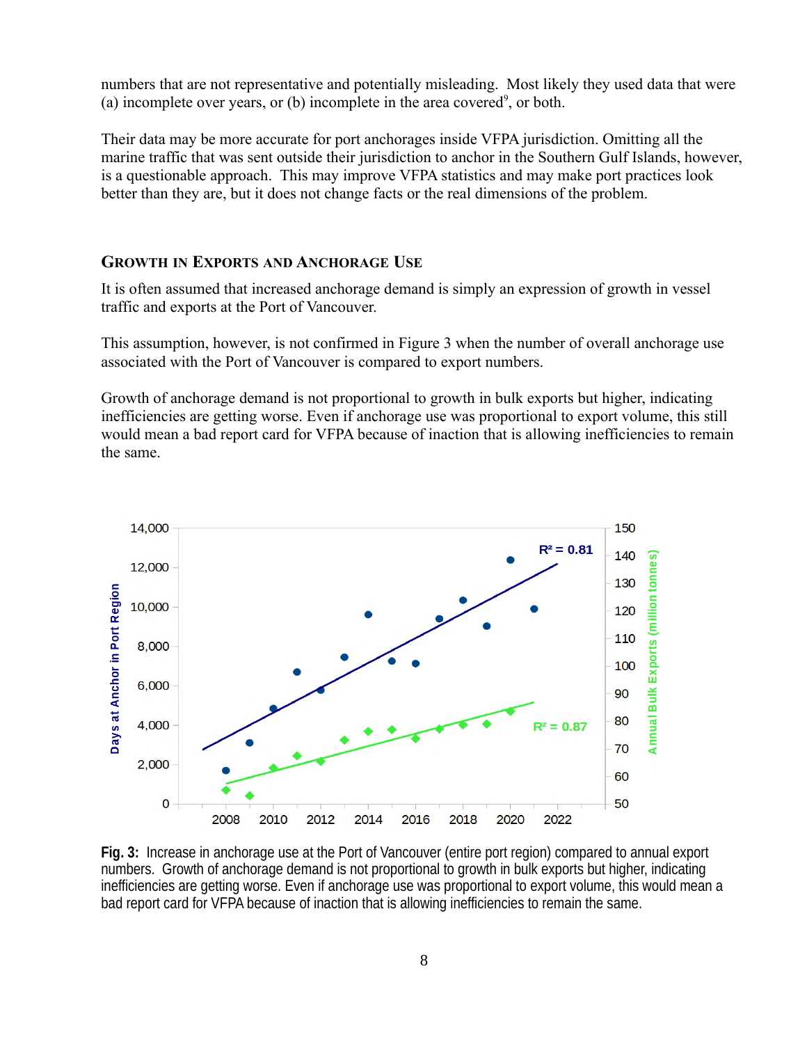numbers that are not representative and potentially misleading. Most likely they used data that were (a) incomplete over years, or (b) incomplete in the area covered<sup>9</sup>, or both.

Their data may be more accurate for port anchorages inside VFPA jurisdiction. Omitting all the marine traffic that was sent outside their jurisdiction to anchor in the Southern Gulf Islands, however, is a questionable approach. This may improve VFPA statistics and may make port practices look better than they are, but it does not change facts or the real dimensions of the problem.

#### <span id="page-7-0"></span>**GROWTH IN EXPORTS AND ANCHORAGE USE**

It is often assumed that increased anchorage demand is simply an expression of growth in vessel traffic and exports at the Port of Vancouver.

This assumption, however, is not confirmed in Figure 3 when the number of overall anchorage use associated with the Port of Vancouver is compared to export numbers.

Growth of anchorage demand is not proportional to growth in bulk exports but higher, indicating inefficiencies are getting worse. Even if anchorage use was proportional to export volume, this still would mean a bad report card for VFPA because of inaction that is allowing inefficiencies to remain the same.



**Fig. 3:** Increase in anchorage use at the Port of Vancouver (entire port region) compared to annual export numbers. Growth of anchorage demand is not proportional to growth in bulk exports but higher, indicating inefficiencies are getting worse. Even if anchorage use was proportional to export volume, this would mean a bad report card for VFPA because of inaction that is allowing inefficiencies to remain the same.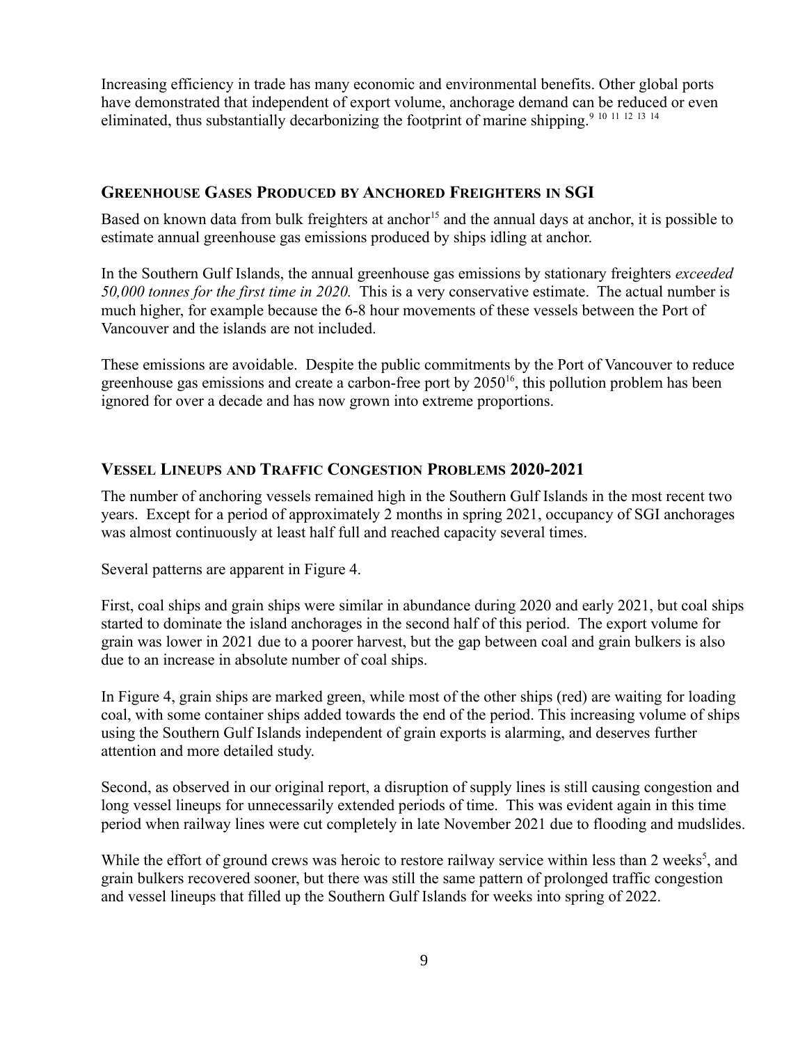Increasing efficiency in trade has many economic and environmental benefits. Other global ports have demonstrated that independent of export volume, anchorage demand can be reduced or even eliminated, thus substantially decarbonizing the footprint of marine shipping.<sup>9 10 11 12 13 14</sup>

#### <span id="page-8-1"></span>**GREENHOUSE GASES PRODUCED BY ANCHORED FREIGHTERS IN SGI**

Based on known data from bulk freighters at anchor<sup>15</sup> and the annual days at anchor, it is possible to estimate annual greenhouse gas emissions produced by ships idling at anchor.

In the Southern Gulf Islands, the annual greenhouse gas emissions by stationary freighters *exceeded 50,000 tonnes for the first time in 2020.* This is a very conservative estimate. The actual number is much higher, for example because the 6-8 hour movements of these vessels between the Port of Vancouver and the islands are not included.

These emissions are avoidable. Despite the public commitments by the Port of Vancouver to reduce greenhouse gas emissions and create a carbon-free port by 2050<sup>16</sup>, this pollution problem has been ignored for over a decade and has now grown into extreme proportions.

#### <span id="page-8-0"></span>**VESSEL LINEUPS AND TRAFFIC CONGESTION PROBLEMS 2020-2021**

The number of anchoring vessels remained high in the Southern Gulf Islands in the most recent two years. Except for a period of approximately 2 months in spring 2021, occupancy of SGI anchorages was almost continuously at least half full and reached capacity several times.

Several patterns are apparent in Figure 4.

First, coal ships and grain ships were similar in abundance during 2020 and early 2021, but coal ships started to dominate the island anchorages in the second half of this period. The export volume for grain was lower in 2021 due to a poorer harvest, but the gap between coal and grain bulkers is also due to an increase in absolute number of coal ships.

In Figure 4, grain ships are marked green, while most of the other ships (red) are waiting for loading coal, with some container ships added towards the end of the period. This increasing volume of ships using the Southern Gulf Islands independent of grain exports is alarming, and deserves further attention and more detailed study.

Second, as observed in our original report, a disruption of supply lines is still causing congestion and long vessel lineups for unnecessarily extended periods of time. This was evident again in this time period when railway lines were cut completely in late November 2021 due to flooding and mudslides.

While the effort of ground crews was heroic to restore railway service within less than 2 weeks<sup>5</sup>, and grain bulkers recovered sooner, but there was still the same pattern of prolonged traffic congestion and vessel lineups that filled up the Southern Gulf Islands for weeks into spring of 2022.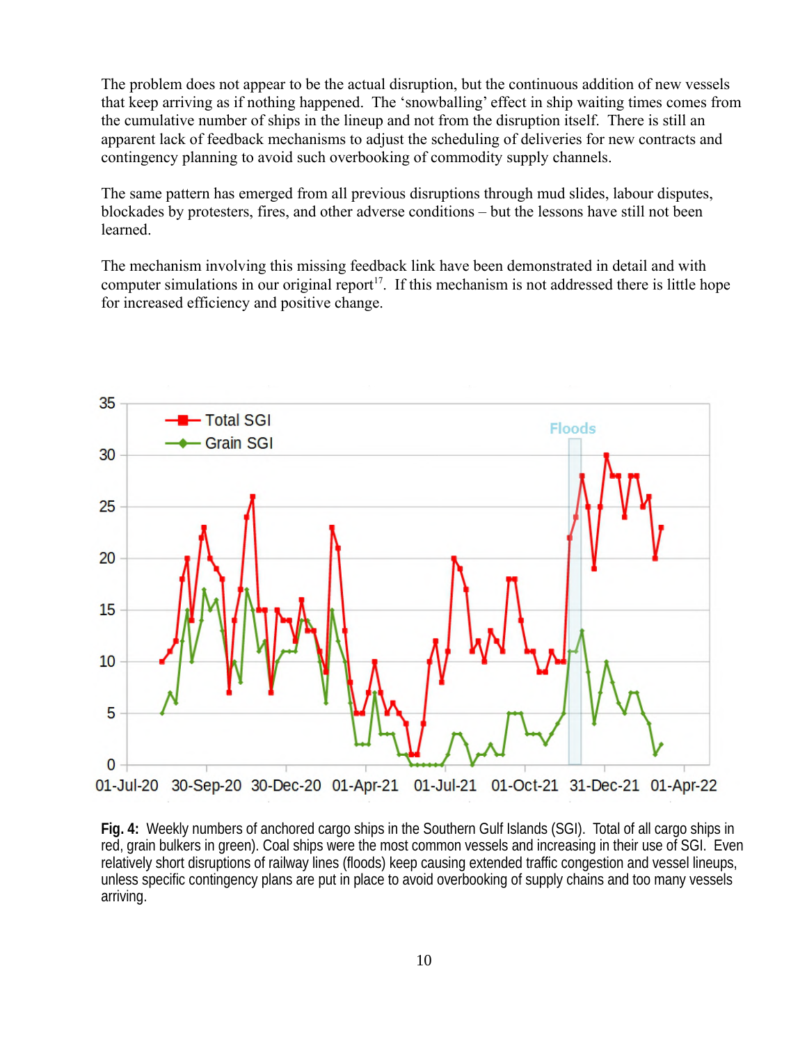The problem does not appear to be the actual disruption, but the continuous addition of new vessels that keep arriving as if nothing happened. The 'snowballing' effect in ship waiting times comes from the cumulative number of ships in the lineup and not from the disruption itself. There is still an apparent lack of feedback mechanisms to adjust the scheduling of deliveries for new contracts and contingency planning to avoid such overbooking of commodity supply channels.

The same pattern has emerged from all previous disruptions through mud slides, labour disputes, blockades by protesters, fires, and other adverse conditions – but the lessons have still not been learned.

The mechanism involving this missing feedback link have been demonstrated in detail and with computer simulations in our original report<sup>17</sup>. If this mechanism is not addressed there is little hope for increased efficiency and positive change.



**Fig. 4:** Weekly numbers of anchored cargo ships in the Southern Gulf Islands (SGI). Total of all cargo ships in red, grain bulkers in green). Coal ships were the most common vessels and increasing in their use of SGI. Even relatively short disruptions of railway lines (floods) keep causing extended traffic congestion and vessel lineups, unless specific contingency plans are put in place to avoid overbooking of supply chains and too many vessels arriving.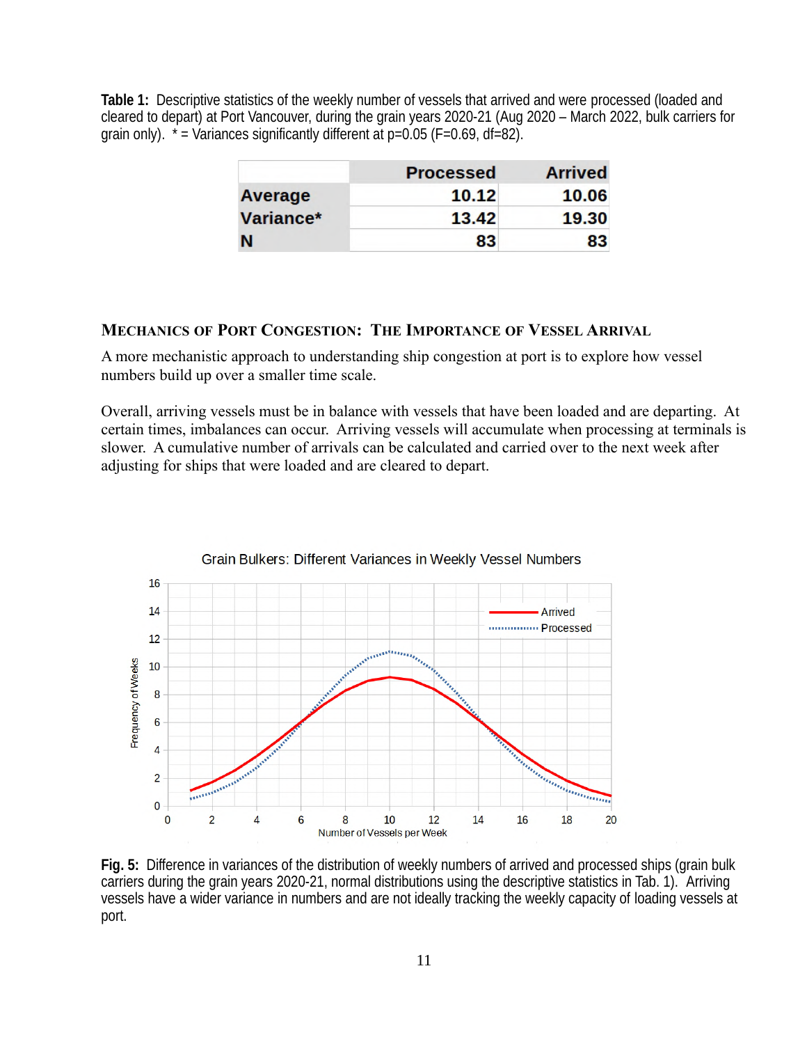**Table 1:** Descriptive statistics of the weekly number of vessels that arrived and were processed (loaded and cleared to depart) at Port Vancouver, during the grain years 2020-21 (Aug 2020 – March 2022, bulk carriers for grain only).  $*$  = Variances significantly different at  $p=0.05$  (F=0.69, df=82).

|           | <b>Processed</b> | <b>Arrived</b> |
|-----------|------------------|----------------|
| Average   | 10.12            | 10.06          |
| Variance* | 13.42            | 19.30          |
| N         | 83               | 83             |

#### <span id="page-10-0"></span>**MECHANICS OF PORT CONGESTION: THE IMPORTANCE OF VESSEL ARRIVAL**

A more mechanistic approach to understanding ship congestion at port is to explore how vessel numbers build up over a smaller time scale.

Overall, arriving vessels must be in balance with vessels that have been loaded and are departing. At certain times, imbalances can occur. Arriving vessels will accumulate when processing at terminals is slower. A cumulative number of arrivals can be calculated and carried over to the next week after adjusting for ships that were loaded and are cleared to depart.



**Fig. 5:** Difference in variances of the distribution of weekly numbers of arrived and processed ships (grain bulk carriers during the grain years 2020-21, normal distributions using the descriptive statistics in Tab. 1). Arriving vessels have a wider variance in numbers and are not ideally tracking the weekly capacity of loading vessels at port.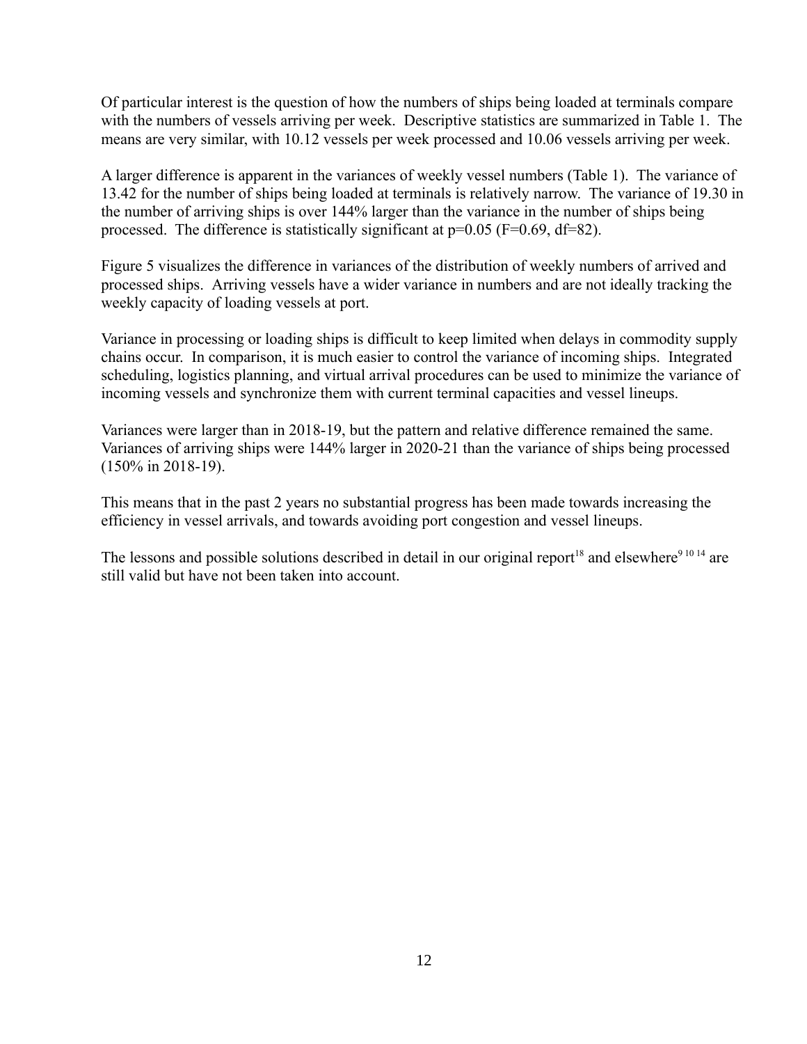Of particular interest is the question of how the numbers of ships being loaded at terminals compare with the numbers of vessels arriving per week. Descriptive statistics are summarized in Table 1. The means are very similar, with 10.12 vessels per week processed and 10.06 vessels arriving per week.

A larger difference is apparent in the variances of weekly vessel numbers (Table 1). The variance of 13.42 for the number of ships being loaded at terminals is relatively narrow. The variance of 19.30 in the number of arriving ships is over 144% larger than the variance in the number of ships being processed. The difference is statistically significant at  $p=0.05$  (F=0.69, df=82).

Figure 5 visualizes the difference in variances of the distribution of weekly numbers of arrived and processed ships. Arriving vessels have a wider variance in numbers and are not ideally tracking the weekly capacity of loading vessels at port.

Variance in processing or loading ships is difficult to keep limited when delays in commodity supply chains occur. In comparison, it is much easier to control the variance of incoming ships. Integrated scheduling, logistics planning, and virtual arrival procedures can be used to minimize the variance of incoming vessels and synchronize them with current terminal capacities and vessel lineups.

Variances were larger than in 2018-19, but the pattern and relative difference remained the same. Variances of arriving ships were 144% larger in 2020-21 than the variance of ships being processed (150% in 2018-19).

This means that in the past 2 years no substantial progress has been made towards increasing the efficiency in vessel arrivals, and towards avoiding port congestion and vessel lineups.

The lessons and possible solutions described in detail in our original report<sup>18</sup> and elsewhere<sup>9 10 14</sup> are still valid but have not been taken into account.